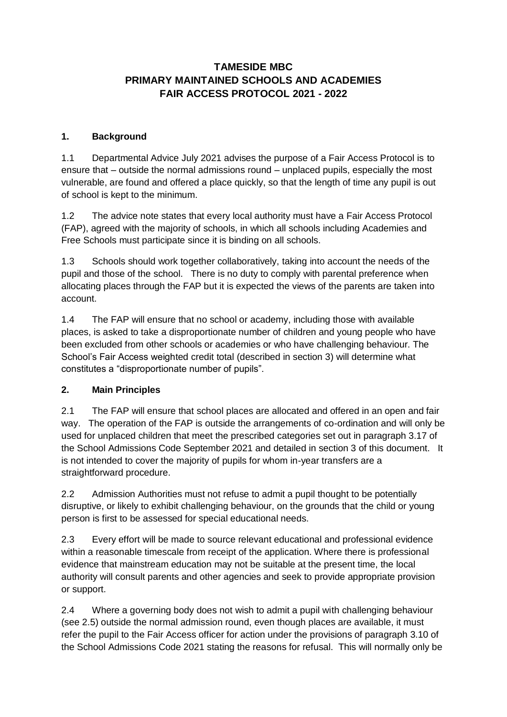# **TAMESIDE MBC PRIMARY MAINTAINED SCHOOLS AND ACADEMIES FAIR ACCESS PROTOCOL 2021 - 2022**

### **1. Background**

1.1 Departmental Advice July 2021 advises the purpose of a Fair Access Protocol is to ensure that – outside the normal admissions round – unplaced pupils, especially the most vulnerable, are found and offered a place quickly, so that the length of time any pupil is out of school is kept to the minimum.

1.2 The advice note states that every local authority must have a Fair Access Protocol (FAP), agreed with the majority of schools, in which all schools including Academies and Free Schools must participate since it is binding on all schools.

1.3 Schools should work together collaboratively, taking into account the needs of the pupil and those of the school. There is no duty to comply with parental preference when allocating places through the FAP but it is expected the views of the parents are taken into account.

1.4 The FAP will ensure that no school or academy, including those with available places, is asked to take a disproportionate number of children and young people who have been excluded from other schools or academies or who have challenging behaviour. The School's Fair Access weighted credit total (described in section 3) will determine what constitutes a "disproportionate number of pupils".

# **2. Main Principles**

2.1 The FAP will ensure that school places are allocated and offered in an open and fair way. The operation of the FAP is outside the arrangements of co-ordination and will only be used for unplaced children that meet the prescribed categories set out in paragraph 3.17 of the School Admissions Code September 2021 and detailed in section 3 of this document. It is not intended to cover the majority of pupils for whom in-year transfers are a straightforward procedure.

2.2 Admission Authorities must not refuse to admit a pupil thought to be potentially disruptive, or likely to exhibit challenging behaviour, on the grounds that the child or young person is first to be assessed for special educational needs.

2.3 Every effort will be made to source relevant educational and professional evidence within a reasonable timescale from receipt of the application. Where there is professional evidence that mainstream education may not be suitable at the present time, the local authority will consult parents and other agencies and seek to provide appropriate provision or support.

2.4 Where a governing body does not wish to admit a pupil with challenging behaviour (see 2.5) outside the normal admission round, even though places are available, it must refer the pupil to the Fair Access officer for action under the provisions of paragraph 3.10 of the School Admissions Code 2021 stating the reasons for refusal. This will normally only be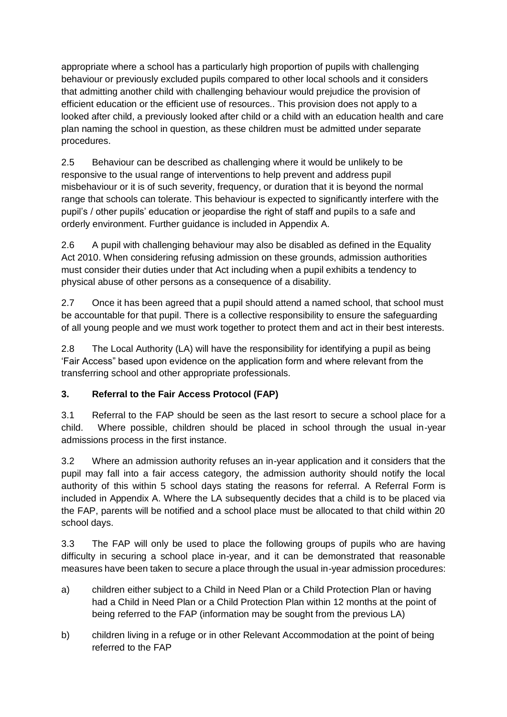appropriate where a school has a particularly high proportion of pupils with challenging behaviour or previously excluded pupils compared to other local schools and it considers that admitting another child with challenging behaviour would prejudice the provision of efficient education or the efficient use of resources.. This provision does not apply to a looked after child, a previously looked after child or a child with an education health and care plan naming the school in question, as these children must be admitted under separate procedures.

2.5 Behaviour can be described as challenging where it would be unlikely to be responsive to the usual range of interventions to help prevent and address pupil misbehaviour or it is of such severity, frequency, or duration that it is beyond the normal range that schools can tolerate. This behaviour is expected to significantly interfere with the pupil's / other pupils' education or jeopardise the right of staff and pupils to a safe and orderly environment. Further guidance is included in Appendix A.

2.6 A pupil with challenging behaviour may also be disabled as defined in the Equality Act 2010. When considering refusing admission on these grounds, admission authorities must consider their duties under that Act including when a pupil exhibits a tendency to physical abuse of other persons as a consequence of a disability.

2.7 Once it has been agreed that a pupil should attend a named school, that school must be accountable for that pupil. There is a collective responsibility to ensure the safeguarding of all young people and we must work together to protect them and act in their best interests.

2.8 The Local Authority (LA) will have the responsibility for identifying a pupil as being 'Fair Access" based upon evidence on the application form and where relevant from the transferring school and other appropriate professionals.

# **3. Referral to the Fair Access Protocol (FAP)**

3.1 Referral to the FAP should be seen as the last resort to secure a school place for a child. Where possible, children should be placed in school through the usual in-year admissions process in the first instance.

3.2 Where an admission authority refuses an in-year application and it considers that the pupil may fall into a fair access category, the admission authority should notify the local authority of this within 5 school days stating the reasons for referral. A Referral Form is included in Appendix A. Where the LA subsequently decides that a child is to be placed via the FAP, parents will be notified and a school place must be allocated to that child within 20 school days.

3.3 The FAP will only be used to place the following groups of pupils who are having difficulty in securing a school place in-year, and it can be demonstrated that reasonable measures have been taken to secure a place through the usual in-year admission procedures:

- a) children either subject to a Child in Need Plan or a Child Protection Plan or having had a Child in Need Plan or a Child Protection Plan within 12 months at the point of being referred to the FAP (information may be sought from the previous LA)
- b) children living in a refuge or in other Relevant Accommodation at the point of being referred to the FAP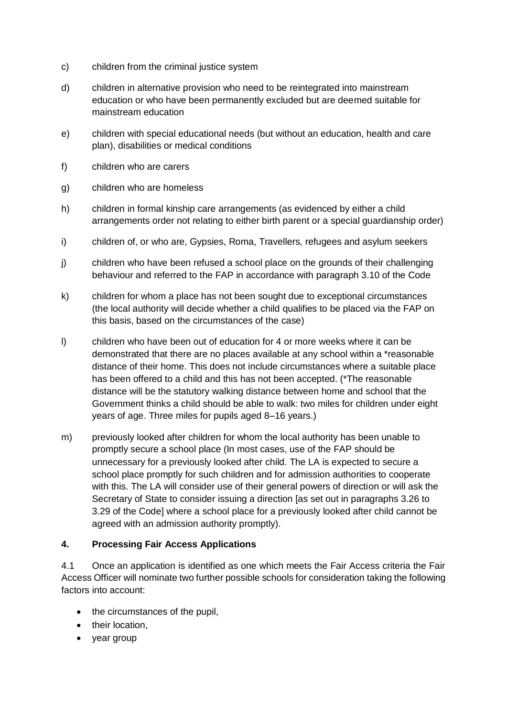- c) children from the criminal justice system
- d) children in alternative provision who need to be reintegrated into mainstream education or who have been permanently excluded but are deemed suitable for mainstream education
- e) children with special educational needs (but without an education, health and care plan), disabilities or medical conditions
- f) children who are carers
- g) children who are homeless
- h) children in formal kinship care arrangements (as evidenced by either a child arrangements order not relating to either birth parent or a special guardianship order)
- i) children of, or who are, Gypsies, Roma, Travellers, refugees and asylum seekers
- j) children who have been refused a school place on the grounds of their challenging behaviour and referred to the FAP in accordance with paragraph 3.10 of the Code
- k) children for whom a place has not been sought due to exceptional circumstances (the local authority will decide whether a child qualifies to be placed via the FAP on this basis, based on the circumstances of the case)
- l) children who have been out of education for 4 or more weeks where it can be demonstrated that there are no places available at any school within a \*reasonable distance of their home. This does not include circumstances where a suitable place has been offered to a child and this has not been accepted. (\*The reasonable distance will be the statutory walking distance between home and school that the Government thinks a child should be able to walk: two miles for children under eight years of age. Three miles for pupils aged 8–16 years.)
- m) previously looked after children for whom the local authority has been unable to promptly secure a school place (In most cases, use of the FAP should be unnecessary for a previously looked after child. The LA is expected to secure a school place promptly for such children and for admission authorities to cooperate with this. The LA will consider use of their general powers of direction or will ask the Secretary of State to consider issuing a direction [as set out in paragraphs 3.26 to 3.29 of the Code] where a school place for a previously looked after child cannot be agreed with an admission authority promptly).

### **4. Processing Fair Access Applications**

4.1 Once an application is identified as one which meets the Fair Access criteria the Fair Access Officer will nominate two further possible schools for consideration taking the following factors into account:

- the circumstances of the pupil,
- their location,
- year group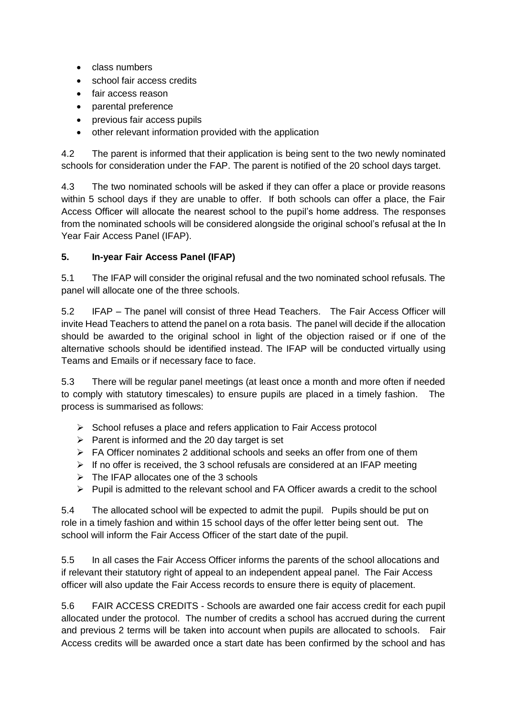- class numbers
- school fair access credits
- fair access reason
- parental preference
- previous fair access pupils
- other relevant information provided with the application

4.2 The parent is informed that their application is being sent to the two newly nominated schools for consideration under the FAP. The parent is notified of the 20 school days target.

4.3 The two nominated schools will be asked if they can offer a place or provide reasons within 5 school days if they are unable to offer. If both schools can offer a place, the Fair Access Officer will allocate the nearest school to the pupil's home address. The responses from the nominated schools will be considered alongside the original school's refusal at the In Year Fair Access Panel (IFAP).

## **5. In-year Fair Access Panel (IFAP)**

5.1 The IFAP will consider the original refusal and the two nominated school refusals. The panel will allocate one of the three schools.

5.2 IFAP – The panel will consist of three Head Teachers. The Fair Access Officer will invite Head Teachers to attend the panel on a rota basis. The panel will decide if the allocation should be awarded to the original school in light of the objection raised or if one of the alternative schools should be identified instead. The IFAP will be conducted virtually using Teams and Emails or if necessary face to face.

5.3 There will be regular panel meetings (at least once a month and more often if needed to comply with statutory timescales) to ensure pupils are placed in a timely fashion. The process is summarised as follows:

- $\triangleright$  School refuses a place and refers application to Fair Access protocol
- $\triangleright$  Parent is informed and the 20 day target is set
- $\triangleright$  FA Officer nominates 2 additional schools and seeks an offer from one of them
- $\triangleright$  If no offer is received, the 3 school refusals are considered at an IFAP meeting
- $\triangleright$  The IFAP allocates one of the 3 schools
- $\triangleright$  Pupil is admitted to the relevant school and FA Officer awards a credit to the school

5.4 The allocated school will be expected to admit the pupil. Pupils should be put on role in a timely fashion and within 15 school days of the offer letter being sent out. The school will inform the Fair Access Officer of the start date of the pupil.

5.5 In all cases the Fair Access Officer informs the parents of the school allocations and if relevant their statutory right of appeal to an independent appeal panel. The Fair Access officer will also update the Fair Access records to ensure there is equity of placement.

5.6 FAIR ACCESS CREDITS - Schools are awarded one fair access credit for each pupil allocated under the protocol. The number of credits a school has accrued during the current and previous 2 terms will be taken into account when pupils are allocated to schools. Fair Access credits will be awarded once a start date has been confirmed by the school and has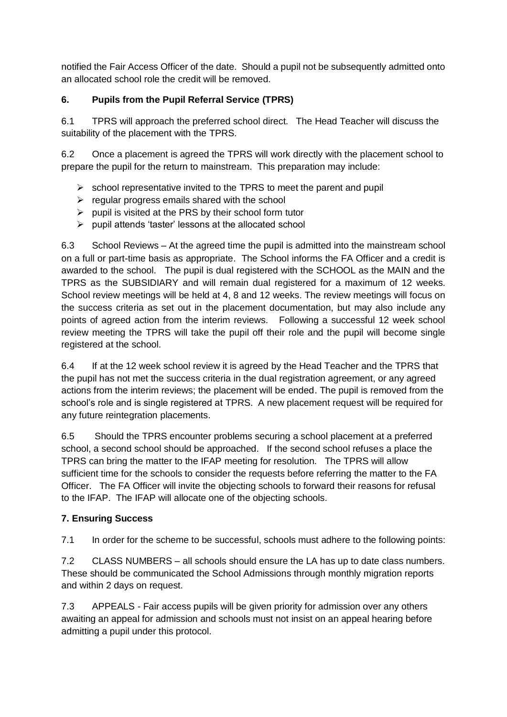notified the Fair Access Officer of the date. Should a pupil not be subsequently admitted onto an allocated school role the credit will be removed.

# **6. Pupils from the Pupil Referral Service (TPRS)**

6.1 TPRS will approach the preferred school direct. The Head Teacher will discuss the suitability of the placement with the TPRS.

6.2 Once a placement is agreed the TPRS will work directly with the placement school to prepare the pupil for the return to mainstream. This preparation may include:

- $\triangleright$  school representative invited to the TPRS to meet the parent and pupil
- $\triangleright$  regular progress emails shared with the school
- $\triangleright$  pupil is visited at the PRS by their school form tutor
- $\triangleright$  pupil attends 'taster' lessons at the allocated school

6.3 School Reviews – At the agreed time the pupil is admitted into the mainstream school on a full or part-time basis as appropriate. The School informs the FA Officer and a credit is awarded to the school. The pupil is dual registered with the SCHOOL as the MAIN and the TPRS as the SUBSIDIARY and will remain dual registered for a maximum of 12 weeks. School review meetings will be held at 4, 8 and 12 weeks. The review meetings will focus on the success criteria as set out in the placement documentation, but may also include any points of agreed action from the interim reviews. Following a successful 12 week school review meeting the TPRS will take the pupil off their role and the pupil will become single registered at the school.

6.4 If at the 12 week school review it is agreed by the Head Teacher and the TPRS that the pupil has not met the success criteria in the dual registration agreement, or any agreed actions from the interim reviews; the placement will be ended. The pupil is removed from the school's role and is single registered at TPRS. A new placement request will be required for any future reintegration placements.

6.5 Should the TPRS encounter problems securing a school placement at a preferred school, a second school should be approached. If the second school refuses a place the TPRS can bring the matter to the IFAP meeting for resolution. The TPRS will allow sufficient time for the schools to consider the requests before referring the matter to the FA Officer. The FA Officer will invite the objecting schools to forward their reasons for refusal to the IFAP. The IFAP will allocate one of the objecting schools.

### **7. Ensuring Success**

7.1 In order for the scheme to be successful, schools must adhere to the following points:

7.2 CLASS NUMBERS – all schools should ensure the LA has up to date class numbers. These should be communicated the School Admissions through monthly migration reports and within 2 days on request.

7.3 APPEALS - Fair access pupils will be given priority for admission over any others awaiting an appeal for admission and schools must not insist on an appeal hearing before admitting a pupil under this protocol.